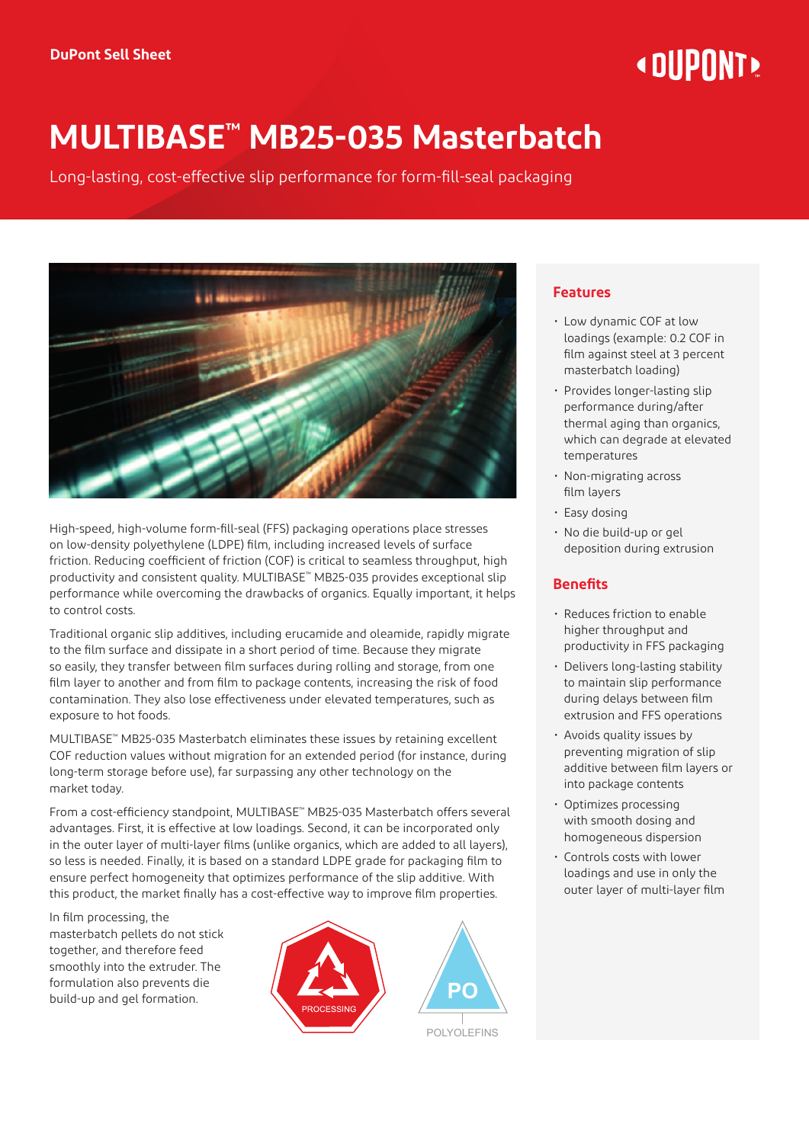# « DIIPNNT»

# **MULTIBASE™ MB25-035 Masterbatch**

Long-lasting, cost-effective slip performance for form-fill-seal packaging



High-speed, high-volume form-fill-seal (FFS) packaging operations place stresses on low-density polyethylene (LDPE) film, including increased levels of surface friction. Reducing coefficient of friction (COF) is critical to seamless throughput, high productivity and consistent quality. MULTIBASE™ MB25-035 provides exceptional slip performance while overcoming the drawbacks of organics. Equally important, it helps to control costs.

Traditional organic slip additives, including erucamide and oleamide, rapidly migrate to the film surface and dissipate in a short period of time. Because they migrate so easily, they transfer between film surfaces during rolling and storage, from one film layer to another and from film to package contents, increasing the risk of food contamination. They also lose effectiveness under elevated temperatures, such as exposure to hot foods.

MULTIBASE™ MB25-035 Masterbatch eliminates these issues by retaining excellent COF reduction values without migration for an extended period (for instance, during long-term storage before use), far surpassing any other technology on the market today.

From a cost-efficiency standpoint, MULTIBASE™ MB25-035 Masterbatch offers several advantages. First, it is effective at low loadings. Second, it can be incorporated only in the outer layer of multi-layer films (unlike organics, which are added to all layers), so less is needed. Finally, it is based on a standard LDPE grade for packaging film to ensure perfect homogeneity that optimizes performance of the slip additive. With this product, the market finally has a cost-effective way to improve film properties.

In film processing, the masterbatch pellets do not stick together, and therefore feed smoothly into the extruder. The formulation also prevents die build-up and gel formation.





POLYOLEFINS

## **Features**

- Low dynamic COF at low loadings (example: 0.2 COF in film against steel at 3 percent masterbatch loading)
- Provides longer-lasting slip performance during/after thermal aging than organics, which can degrade at elevated temperatures
- Non-migrating across film layers
- Easy dosing
- No die build-up or gel deposition during extrusion

# **Benefits**

- Reduces friction to enable higher throughput and productivity in FFS packaging
- Delivers long-lasting stability to maintain slip performance during delays between film extrusion and FFS operations
- Avoids quality issues by preventing migration of slip additive between film layers or into package contents
- Optimizes processing with smooth dosing and homogeneous dispersion
- Controls costs with lower loadings and use in only the outer layer of multi-layer film